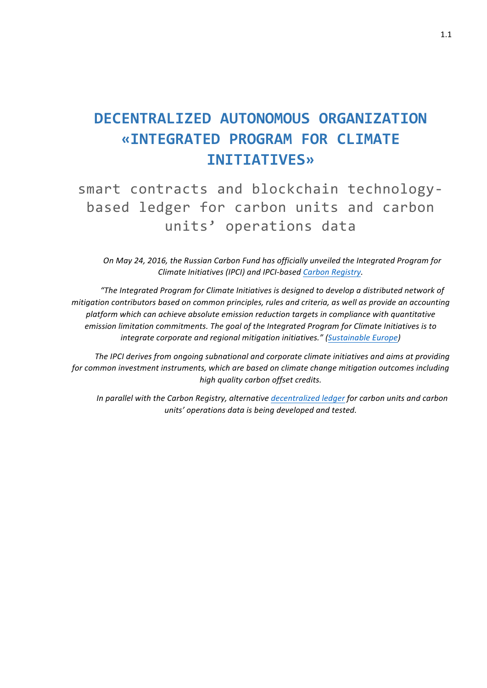# **DECENTRALIZED AUTONOMOUS ORGANIZATION «INTEGRATED PROGRAM FOR CLIMATE INITIATIVES»**

smart contracts and blockchain technologybased ledger for carbon units and carbon units' operations data 

*On May 24, 2016, the Russian Carbon Fund has officially unveiled the Integrated Program for Climate Initiatives (IPCI) and IPCI-based Carbon Registry.* 

"The Integrated Program for Climate Initiatives is designed to develop a distributed network of *mitigation contributors based on common principles, rules and criteria, as well as provide an accounting* platform which can achieve absolute emission reduction targets in compliance with quantitative *emission limitation commitments. The goal of the Integrated Program for Climate Initiatives is to integrate corporate and regional mitigation initiatives." (Sustainable Europe)* 

*The IPCI derives from ongoing subnational and corporate climate initiatives and aims at providing for common investment instruments, which are based on climate change mitigation outcomes including high quality carbon offset credits.*

*In* parallel with the Carbon Registry, alternative decentralized ledger for carbon units and carbon *units' operations data is being developed and tested.*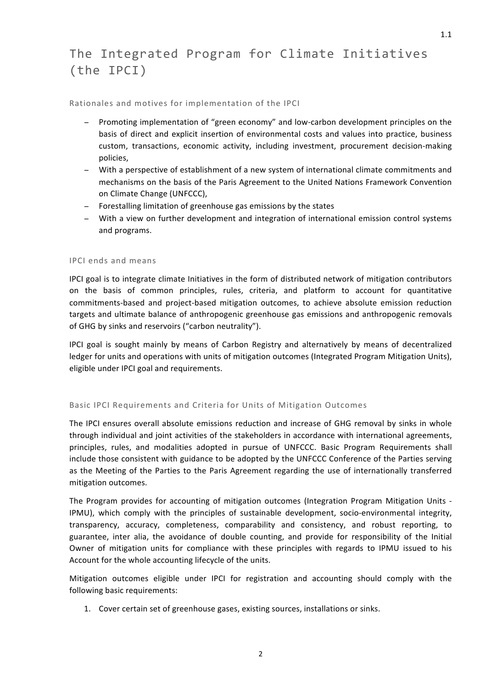# The Integrated Program for Climate Initiatives (the IPCI)

Rationales and motives for implementation of the IPCI

- − Promoting implementation of "green economy" and low-carbon development principles on the basis of direct and explicit insertion of environmental costs and values into practice, business custom, transactions, economic activity, including investment, procurement decision-making policies,
- − With a perspective of establishment of a new system of international climate commitments and mechanisms on the basis of the Paris Agreement to the United Nations Framework Convention on Climate Change (UNFCCC),
- − Forestalling limitation of greenhouse gas emissions by the states
- − With a view on further development and integration of international emission control systems and programs.

# IPCI ends and means

IPCI goal is to integrate climate Initiatives in the form of distributed network of mitigation contributors on the basis of common principles, rules, criteria, and platform to account for quantitative commitments-based and project-based mitigation outcomes, to achieve absolute emission reduction targets and ultimate balance of anthropogenic greenhouse gas emissions and anthropogenic removals of GHG by sinks and reservoirs ("carbon neutrality").

IPCI goal is sought mainly by means of Carbon Registry and alternatively by means of decentralized ledger for units and operations with units of mitigation outcomes (Integrated Program Mitigation Units), eligible under IPCI goal and requirements.

# Basic IPCI Requirements and Criteria for Units of Mitigation Outcomes

The IPCI ensures overall absolute emissions reduction and increase of GHG removal by sinks in whole through individual and ioint activities of the stakeholders in accordance with international agreements, principles, rules, and modalities adopted in pursue of UNFCCC. Basic Program Requirements shall include those consistent with guidance to be adopted by the UNFCCC Conference of the Parties serving as the Meeting of the Parties to the Paris Agreement regarding the use of internationally transferred mitigation outcomes.

The Program provides for accounting of mitigation outcomes (Integration Program Mitigation Units -IPMU), which comply with the principles of sustainable development, socio-environmental integrity, transparency, accuracy, completeness, comparability and consistency, and robust reporting, to guarantee, inter alia, the avoidance of double counting, and provide for responsibility of the Initial Owner of mitigation units for compliance with these principles with regards to IPMU issued to his Account for the whole accounting lifecycle of the units.

Mitigation outcomes eligible under IPCI for registration and accounting should comply with the following basic requirements:

1. Cover certain set of greenhouse gases, existing sources, installations or sinks.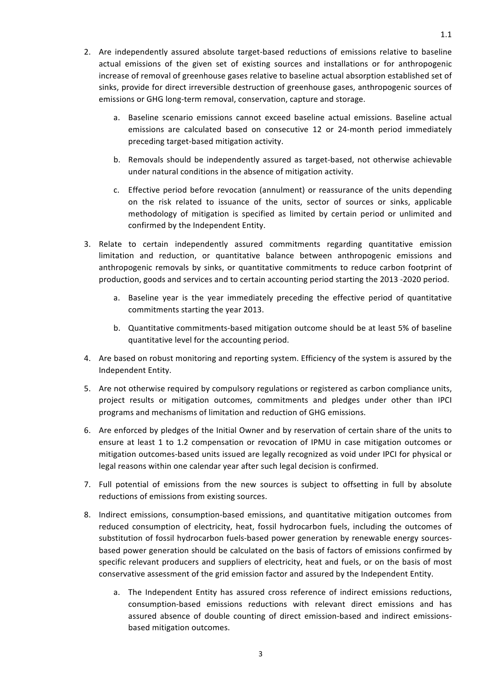- 2. Are independently assured absolute target-based reductions of emissions relative to baseline actual emissions of the given set of existing sources and installations or for anthropogenic increase of removal of greenhouse gases relative to baseline actual absorption established set of sinks, provide for direct irreversible destruction of greenhouse gases, anthropogenic sources of emissions or GHG long-term removal, conservation, capture and storage.
	- a. Baseline scenario emissions cannot exceed baseline actual emissions. Baseline actual emissions are calculated based on consecutive 12 or 24-month period immediately preceding target-based mitigation activity.
	- b. Removals should be independently assured as target-based, not otherwise achievable under natural conditions in the absence of mitigation activity.
	- c. Effective period before revocation (annulment) or reassurance of the units depending on the risk related to issuance of the units, sector of sources or sinks, applicable methodology of mitigation is specified as limited by certain period or unlimited and confirmed by the Independent Entity.
- 3. Relate to certain independently assured commitments regarding quantitative emission limitation and reduction, or quantitative balance between anthropogenic emissions and anthropogenic removals by sinks, or quantitative commitments to reduce carbon footprint of production, goods and services and to certain accounting period starting the 2013 -2020 period.
	- a. Baseline year is the year immediately preceding the effective period of quantitative commitments starting the year 2013.
	- b. Quantitative commitments-based mitigation outcome should be at least 5% of baseline quantitative level for the accounting period.
- 4. Are based on robust monitoring and reporting system. Efficiency of the system is assured by the Independent Entity.
- 5. Are not otherwise required by compulsory regulations or registered as carbon compliance units, project results or mitigation outcomes, commitments and pledges under other than IPCI programs and mechanisms of limitation and reduction of GHG emissions.
- 6. Are enforced by pledges of the Initial Owner and by reservation of certain share of the units to ensure at least 1 to 1.2 compensation or revocation of IPMU in case mitigation outcomes or mitigation outcomes-based units issued are legally recognized as void under IPCI for physical or legal reasons within one calendar year after such legal decision is confirmed.
- 7. Full potential of emissions from the new sources is subject to offsetting in full by absolute reductions of emissions from existing sources.
- 8. Indirect emissions, consumption-based emissions, and quantitative mitigation outcomes from reduced consumption of electricity, heat, fossil hydrocarbon fuels, including the outcomes of substitution of fossil hydrocarbon fuels-based power generation by renewable energy sourcesbased power generation should be calculated on the basis of factors of emissions confirmed by specific relevant producers and suppliers of electricity, heat and fuels, or on the basis of most conservative assessment of the grid emission factor and assured by the Independent Entity.
	- a. The Independent Entity has assured cross reference of indirect emissions reductions, consumption-based emissions reductions with relevant direct emissions and has assured absence of double counting of direct emission-based and indirect emissionsbased mitigation outcomes.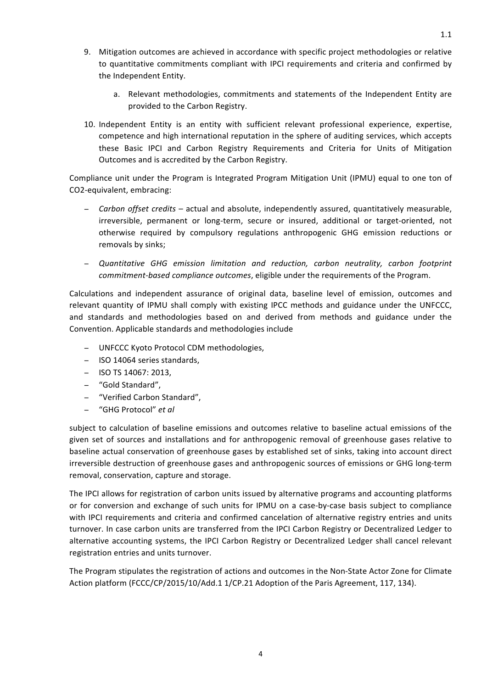- 9. Mitigation outcomes are achieved in accordance with specific project methodologies or relative to quantitative commitments compliant with IPCI requirements and criteria and confirmed by the Independent Entity.
	- a. Relevant methodologies, commitments and statements of the Independent Entity are provided to the Carbon Registry.
- 10. Independent Entity is an entity with sufficient relevant professional experience, expertise, competence and high international reputation in the sphere of auditing services, which accepts these Basic IPCI and Carbon Registry Requirements and Criteria for Units of Mitigation Outcomes and is accredited by the Carbon Registry.

Compliance unit under the Program is Integrated Program Mitigation Unit (IPMU) equal to one ton of CO2-equivalent, embracing:

- − *Carbon offset credits* actual and absolute, independently assured, quantitatively measurable, irreversible, permanent or long-term, secure or insured, additional or target-oriented, not otherwise required by compulsory regulations anthropogenic GHG emission reductions or removals by sinks;
- − *Quantitative GHG emission limitation and reduction, carbon neutrality, carbon footprint commitment-based compliance outcomes*, eligible under the requirements of the Program.

Calculations and independent assurance of original data, baseline level of emission, outcomes and relevant quantity of IPMU shall comply with existing IPCC methods and guidance under the UNFCCC, and standards and methodologies based on and derived from methods and guidance under the Convention. Applicable standards and methodologies include

- − UNFCCC Kyoto Protocol CDM methodologies,
- − ISO 14064 series standards,
- − ISO TS 14067: 2013,
- − "Gold Standard",
- − "Verified Carbon Standard",
- − "GHG Protocol" *et al*

subject to calculation of baseline emissions and outcomes relative to baseline actual emissions of the given set of sources and installations and for anthropogenic removal of greenhouse gases relative to baseline actual conservation of greenhouse gases by established set of sinks, taking into account direct irreversible destruction of greenhouse gases and anthropogenic sources of emissions or GHG long-term removal, conservation, capture and storage.

The IPCI allows for registration of carbon units issued by alternative programs and accounting platforms or for conversion and exchange of such units for IPMU on a case-by-case basis subject to compliance with IPCI requirements and criteria and confirmed cancelation of alternative registry entries and units turnover. In case carbon units are transferred from the IPCI Carbon Registry or Decentralized Ledger to alternative accounting systems, the IPCI Carbon Registry or Decentralized Ledger shall cancel relevant registration entries and units turnover.

The Program stipulates the registration of actions and outcomes in the Non-State Actor Zone for Climate Action platform (FCCC/CP/2015/10/Add.1 1/CP.21 Adoption of the Paris Agreement, 117, 134).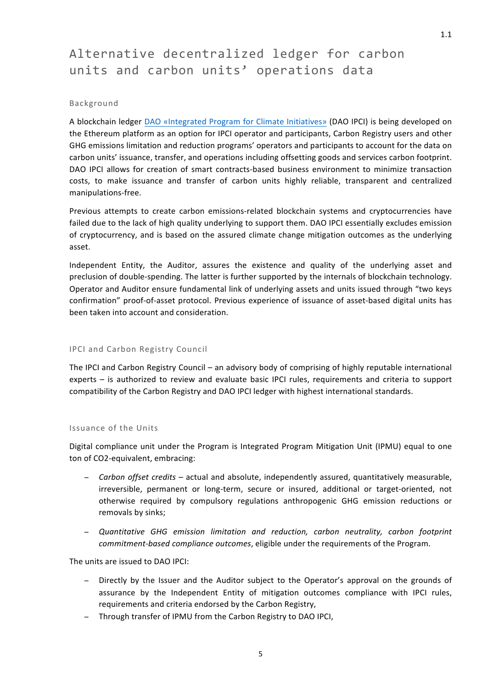# Alternative decentralized ledger for carbon units and carbon units' operations data

### Background

A blockchain ledger DAO «Integrated Program for Climate Initiatives» (DAO IPCI) is being developed on the Ethereum platform as an option for IPCI operator and participants, Carbon Registry users and other GHG emissions limitation and reduction programs' operators and participants to account for the data on carbon units' issuance, transfer, and operations including offsetting goods and services carbon footprint. DAO IPCI allows for creation of smart contracts-based business environment to minimize transaction costs, to make issuance and transfer of carbon units highly reliable, transparent and centralized manipulations-free.

Previous attempts to create carbon emissions-related blockchain systems and cryptocurrencies have failed due to the lack of high quality underlying to support them. DAO IPCI essentially excludes emission of cryptocurrency, and is based on the assured climate change mitigation outcomes as the underlying asset. 

Independent Entity, the Auditor, assures the existence and quality of the underlying asset and preclusion of double-spending. The latter is further supported by the internals of blockchain technology. Operator and Auditor ensure fundamental link of underlying assets and units issued through "two keys confirmation" proof-of-asset protocol. Previous experience of issuance of asset-based digital units has been taken into account and consideration.

# IPCI and Carbon Registry Council

The IPCI and Carbon Registry Council – an advisory body of comprising of highly reputable international experts – is authorized to review and evaluate basic IPCI rules, requirements and criteria to support compatibility of the Carbon Registry and DAO IPCI ledger with highest international standards.

#### Issuance of the Units

Digital compliance unit under the Program is Integrated Program Mitigation Unit (IPMU) equal to one ton of CO2-equivalent, embracing:

- − *Carbon offset credits* actual and absolute, independently assured, quantitatively measurable, irreversible, permanent or long-term, secure or insured, additional or target-oriented, not otherwise required by compulsory regulations anthropogenic GHG emission reductions or removals by sinks;
- − *Quantitative GHG emission limitation and reduction, carbon neutrality, carbon footprint commitment-based compliance outcomes*, eligible under the requirements of the Program.

The units are issued to DAO IPCI:

- − Directly by the Issuer and the Auditor subject to the Operator's approval on the grounds of assurance by the Independent Entity of mitigation outcomes compliance with IPCI rules, requirements and criteria endorsed by the Carbon Registry,
- − Through transfer of IPMU from the Carbon Registry to DAO IPCI,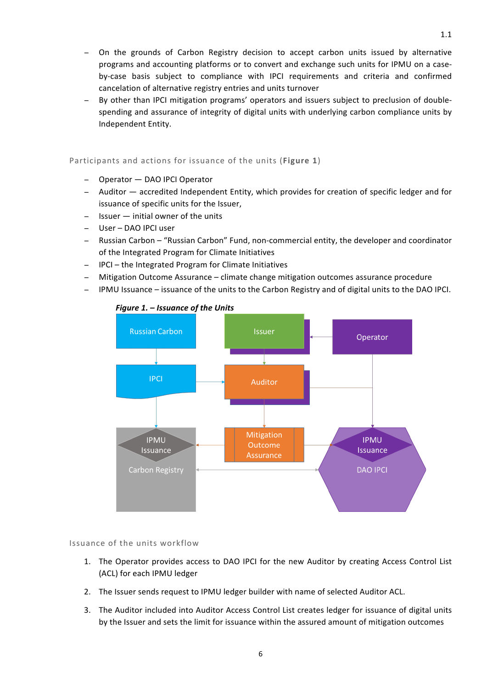- On the grounds of Carbon Registry decision to accept carbon units issued by alternative programs and accounting platforms or to convert and exchange such units for IPMU on a caseby-case basis subject to compliance with IPCI requirements and criteria and confirmed cancelation of alternative registry entries and units turnover
- By other than IPCI mitigation programs' operators and issuers subject to preclusion of doublespending and assurance of integrity of digital units with underlying carbon compliance units by Independent Entity.

# Participants and actions for issuance of the units (Figure 1)

- − Operator DAO IPCI Operator
- − Auditor — accredited Independent Entity, which provides for creation of specific ledger and for issuance of specific units for the Issuer,
- − Issuer — initial owner of the units
- − User – DAO IPCI user
- − Russian Carbon "Russian Carbon" Fund, non-commercial entity, the developer and coordinator of the Integrated Program for Climate Initiatives
- − IPCI the Integrated Program for Climate Initiatives
- − Mitigation Outcome Assurance climate change mitigation outcomes assurance procedure
- − IPMU Issuance issuance of the units to the Carbon Registry and of digital units to the DAO IPCI.



# *Figure 1. – Issuance of the Units*

Issuance of the units workflow

- 1. The Operator provides access to DAO IPCI for the new Auditor by creating Access Control List (ACL) for each IPMU ledger
- 2. The Issuer sends request to IPMU ledger builder with name of selected Auditor ACL.
- 3. The Auditor included into Auditor Access Control List creates ledger for issuance of digital units by the Issuer and sets the limit for issuance within the assured amount of mitigation outcomes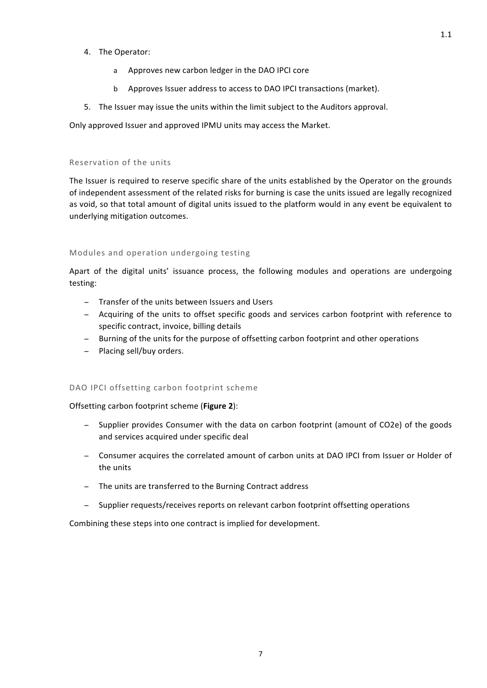- 4. The Operator:
	- a Approves new carbon ledger in the DAO IPCI core
	- b Approves Issuer address to access to DAO IPCI transactions (market).
- 5. The Issuer may issue the units within the limit subject to the Auditors approval.

Only approved Issuer and approved IPMU units may access the Market.

#### Reservation of the units

The Issuer is required to reserve specific share of the units established by the Operator on the grounds of independent assessment of the related risks for burning is case the units issued are legally recognized as void, so that total amount of digital units issued to the platform would in any event be equivalent to underlying mitigation outcomes.

#### Modules and operation undergoing testing

Apart of the digital units' issuance process, the following modules and operations are undergoing testing:

- − Transfer of the units between Issuers and Users
- − Acquiring of the units to offset specific goods and services carbon footprint with reference to specific contract, invoice, billing details
- − Burning of the units for the purpose of offsetting carbon footprint and other operations
- − Placing sell/buy orders.

# DAO IPCI offsetting carbon footprint scheme

Offsetting carbon footprint scheme (Figure 2):

- − Supplier provides Consumer with the data on carbon footprint (amount of CO2e) of the goods and services acquired under specific deal
- − Consumer acquires the correlated amount of carbon units at DAO IPCI from Issuer or Holder of the units
- − The units are transferred to the Burning Contract address
- − Supplier requests/receives reports on relevant carbon footprint offsetting operations

Combining these steps into one contract is implied for development.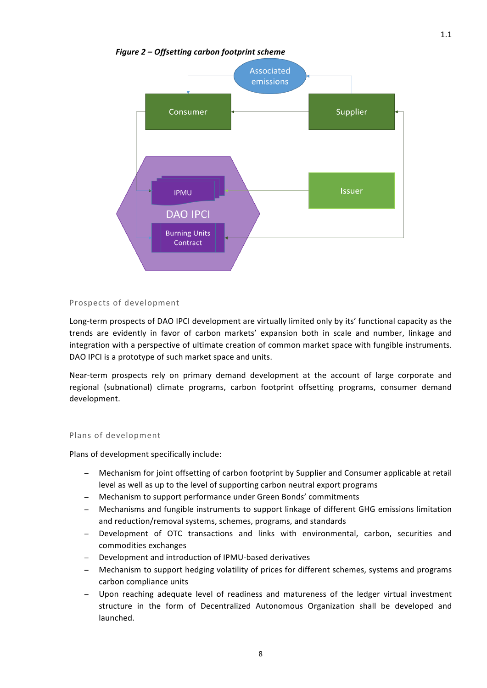### *Figure 2 – Offsetting carbon footprint scheme*



#### Prospects of development

Long-term prospects of DAO IPCI development are virtually limited only by its' functional capacity as the trends are evidently in favor of carbon markets' expansion both in scale and number, linkage and integration with a perspective of ultimate creation of common market space with fungible instruments. DAO IPCI is a prototype of such market space and units.

Near-term prospects rely on primary demand development at the account of large corporate and regional (subnational) climate programs, carbon footprint offsetting programs, consumer demand development.

#### Plans of development

Plans of development specifically include:

- Mechanism for joint offsetting of carbon footprint by Supplier and Consumer applicable at retail level as well as up to the level of supporting carbon neutral export programs
- − Mechanism to support performance under Green Bonds' commitments
- Mechanisms and fungible instruments to support linkage of different GHG emissions limitation and reduction/removal systems, schemes, programs, and standards
- − Development of OTC transactions and links with environmental, carbon, securities and commodities exchanges
- − Development and introduction of IPMU-based derivatives
- − Mechanism to support hedging volatility of prices for different schemes, systems and programs carbon compliance units
- − Upon reaching adequate level of readiness and matureness of the ledger virtual investment structure in the form of Decentralized Autonomous Organization shall be developed and launched.